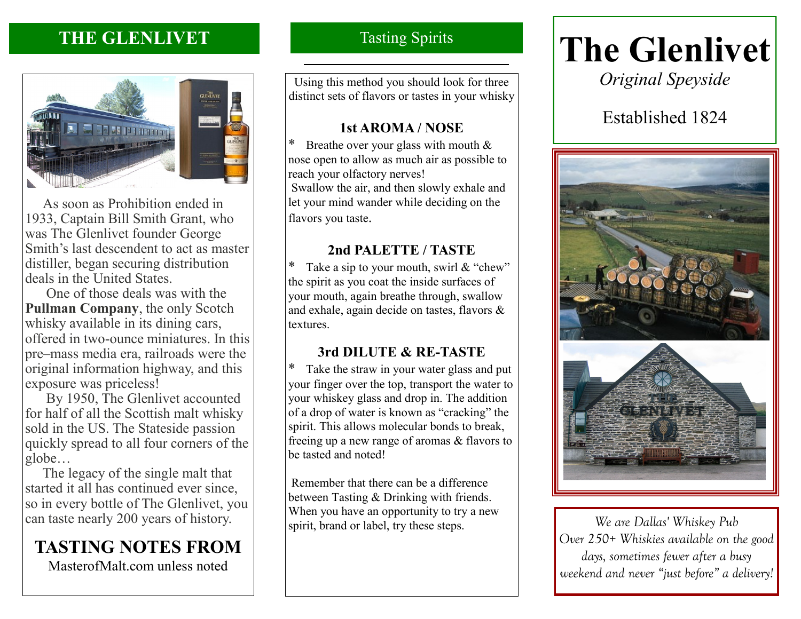## **THE GLENLIVET**



 As soon as Prohibition ended in 1933, Captain Bill Smith Grant, who was The Glenlivet founder George Smith's last descendent to act as master distiller, began securing distribution deals in the United States.

 One of those deals was with the **Pullman Company**, the only Scotch whisky available in its dining cars, offered in two-ounce miniatures. In this pre–mass media era, railroads were the original information highway, and this exposure was priceless!

 By 1950, The Glenlivet accounted for half of all the Scottish malt whisky sold in the US. The Stateside passion quickly spread to all four corners of the globe…

 The legacy of the single malt that started it all has continued ever since, so in every bottle of The Glenlivet, you can taste nearly 200 years of history.

## **TASTING NOTES FROM**

MasterofMalt.com unless noted

## Tasting Spirits

Using this method you should look for three distinct sets of flavors or tastes in your whisky

## **1st AROMA / NOSE**

\* Breathe over your glass with mouth  $&$ nose open to allow as much air as possible to reach your olfactory nerves! Swallow the air, and then slowly exhale and let your mind wander while deciding on the flavors you taste.

## **2nd PALETTE / TASTE**

Take a sip to your mouth, swirl  $&$  "chew" the spirit as you coat the inside surfaces of your mouth, again breathe through, swallow and exhale, again decide on tastes, flavors & textures.

## **3rd DILUTE & RE-TASTE**

Take the straw in your water glass and put your finger over the top, transport the water to your whiskey glass and drop in. The addition of a drop of water is known as "cracking" the spirit. This allows molecular bonds to break, freeing up a new range of aromas & flavors to be tasted and noted!

Remember that there can be a difference between Tasting & Drinking with friends. When you have an opportunity to try a new spirit, brand or label, try these steps.

# **The Glenlivet**

*Original Speyside*

## Established 1824



*We are Dallas' Whiskey Pub Over 250+ Whiskies available on the good days, sometimes fewer after a busy weekend and never "just before" a delivery!*